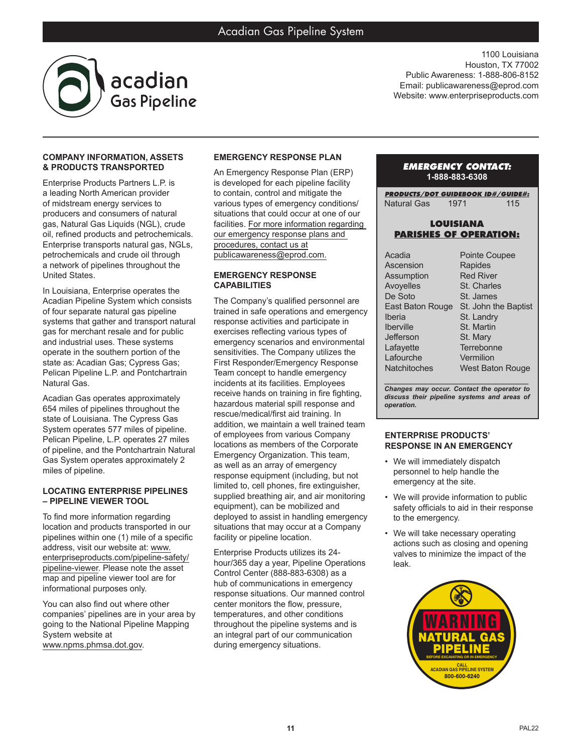

1100 Louisiana Houston, TX 77002 Public Awareness: 1-888-806-8152 Email: publicawareness@eprod.com Website: www.enterpriseproducts.com

### **COMPANY INFORMATION, ASSETS & PRODUCTS TRANSPORTED**

Enterprise Products Partners L.P. is a leading North American provider of midstream energy services to producers and consumers of natural gas, Natural Gas Liquids (NGL), crude oil, refined products and petrochemicals. Enterprise transports natural gas, NGLs, petrochemicals and crude oil through a network of pipelines throughout the United States.

In Louisiana, Enterprise operates the Acadian Pipeline System which consists of four separate natural gas pipeline systems that gather and transport natural gas for merchant resale and for public and industrial uses. These systems operate in the southern portion of the state as: Acadian Gas; Cypress Gas; Pelican Pipeline L.P. and Pontchartrain Natural Gas.

Acadian Gas operates approximately 654 miles of pipelines throughout the state of Louisiana. The Cypress Gas System operates 577 miles of pipeline. Pelican Pipeline, L.P. operates 27 miles of pipeline, and the Pontchartrain Natural Gas System operates approximately 2 miles of pipeline.

#### **LOCATING ENTERPRISE PIPELINES – PIPELINE VIEWER TOOL**

To find more information regarding location and products transported in our pipelines within one (1) mile of a specific address, visit our website at: www. enterpriseproducts.com/pipeline-safety/ pipeline-viewer. Please note the asset map and pipeline viewer tool are for informational purposes only.

You can also find out where other companies' pipelines are in your area by going to the National Pipeline Mapping System website at www.npms.phmsa.dot.gov.

# **EMERGENCY RESPONSE PLAN**

An Emergency Response Plan (ERP) is developed for each pipeline facility to contain, control and mitigate the various types of emergency conditions/ situations that could occur at one of our facilities. For more information regarding our emergency response plans and procedures, contact us at publicawareness@eprod.com.

## **EMERGENCY RESPONSE CAPABILITIES**

The Company's qualified personnel are trained in safe operations and emergency response activities and participate in exercises reflecting various types of emergency scenarios and environmental sensitivities. The Company utilizes the First Responder/Emergency Response Team concept to handle emergency incidents at its facilities. Employees receive hands on training in fire fighting, hazardous material spill response and rescue/medical/first aid training. In addition, we maintain a well trained team of employees from various Company locations as members of the Corporate Emergency Organization. This team, as well as an array of emergency response equipment (including, but not limited to, cell phones, fire extinguisher, supplied breathing air, and air monitoring equipment), can be mobilized and deployed to assist in handling emergency situations that may occur at a Company facility or pipeline location.

Enterprise Products utilizes its 24 hour/365 day a year, Pipeline Operations Control Center (888-883-6308) as a hub of communications in emergency response situations. Our manned control center monitors the flow, pressure, temperatures, and other conditions throughout the pipeline systems and is an integral part of our communication during emergency situations.

### *EMERGENCY CONTACT:* **1-888-883-6308**

*PRODUCTS/DOT GUIDEBOOK ID#/GUIDE#:* Natural Gas 1971 115

### **LOUISIANA PARISHES OF OPERATION:**

| <b>Pointe Coupee</b>    |
|-------------------------|
| Rapides                 |
| <b>Red River</b>        |
| St. Charles             |
| St. James               |
| St. John the Baptist    |
| St. Landry              |
| St. Martin              |
| St. Mary                |
| Terrebonne              |
| Vermilion               |
| <b>West Baton Rouge</b> |
|                         |

*\_\_\_\_\_\_\_\_\_\_\_\_\_\_\_\_\_\_\_\_\_\_\_\_\_\_\_\_\_\_\_\_\_\_\_\_\_\_\_ Changes may occur. Contact the operator to discuss their pipeline systems and areas of operation.*

#### **ENTERPRISE PRODUCTS' RESPONSE IN AN EMERGENCY**

- We will immediately dispatch personnel to help handle the emergency at the site.
- We will provide information to public safety officials to aid in their response to the emergency.
- We will take necessary operating actions such as closing and opening valves to minimize the impact of the leak.